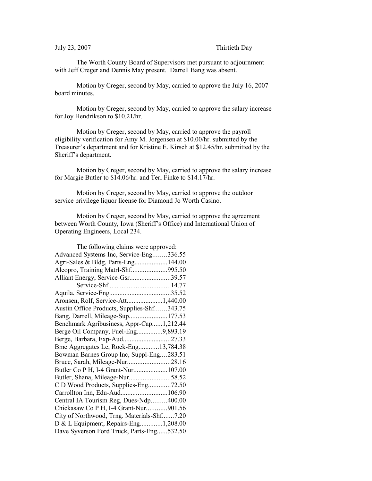The Worth County Board of Supervisors met pursuant to adjournment with Jeff Creger and Dennis May present. Darrell Bang was absent.

Motion by Creger, second by May, carried to approve the July 16, 2007 board minutes.

Motion by Creger, second by May, carried to approve the salary increase for Joy Hendrikson to \$10.21/hr.

Motion by Creger, second by May, carried to approve the payroll eligibility verification for Amy M. Jorgensen at \$10.00/hr. submitted by the Treasurer's department and for Kristine E. Kirsch at \$12.45/hr. submitted by the Sheriff's department.

Motion by Creger, second by May, carried to approve the salary increase for Margie Butler to \$14.06/hr. and Teri Finke to \$14.17/hr.

Motion by Creger, second by May, carried to approve the outdoor service privilege liquor license for Diamond Jo Worth Casino.

Motion by Creger, second by May, carried to approve the agreement between Worth County, Iowa (Sheriff's Office) and International Union of Operating Engineers, Local 234.

| The following claims were approved:        |  |  |
|--------------------------------------------|--|--|
| Advanced Systems Inc, Service-Eng336.55    |  |  |
| Agri-Sales & Bldg, Parts-Eng144.00         |  |  |
| Alcopro, Training Matrl-Shf995.50          |  |  |
| Alliant Energy, Service-Gsr39.57           |  |  |
|                                            |  |  |
|                                            |  |  |
| Aronsen, Rolf, Service-Att1,440.00         |  |  |
| Austin Office Products, Supplies-Shf343.75 |  |  |
| Bang, Darrell, Mileage-Sup177.53           |  |  |
| Benchmark Agribusiness, Appr-Cap1,212.44   |  |  |
| Berge Oil Company, Fuel-Eng9,893.19        |  |  |
| Berge, Barbara, Exp-Aud27.33               |  |  |
| Bmc Aggregates Lc, Rock-Eng13,784.38       |  |  |
| Bowman Barnes Group Inc, Suppl-Eng283.51   |  |  |
| Bruce, Sarah, Mileage-Nur28.16             |  |  |
| Butler Co P H, I-4 Grant-Nur107.00         |  |  |
| Butler, Shana, Mileage-Nur58.52            |  |  |
| C D Wood Products, Supplies-Eng72.50       |  |  |
| Carrollton Inn, Edu-Aud106.90              |  |  |
| Central IA Tourism Reg, Dues-Ndp400.00     |  |  |
| Chickasaw Co P H, I-4 Grant-Nur901.56      |  |  |
| City of Northwood, Trng. Materials-Shf7.20 |  |  |
| D & L Equipment, Repairs-Eng1,208.00       |  |  |
| Dave Syverson Ford Truck, Parts-Eng532.50  |  |  |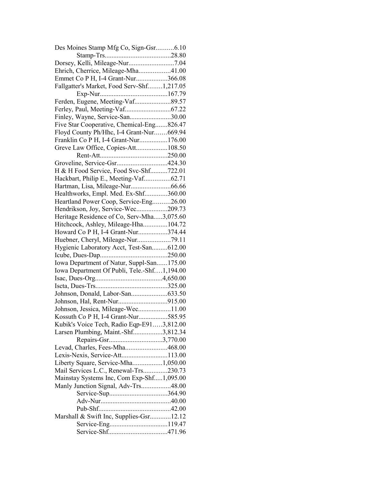| Des Moines Stamp Mfg Co, Sign-Gsr6.10       |  |
|---------------------------------------------|--|
|                                             |  |
|                                             |  |
| Ehrich, Cherrice, Mileage-Mha41.00          |  |
| Emmet Co P H, I-4 Grant-Nur366.08           |  |
| Fallgatter's Market, Food Serv-Shf1,217.05  |  |
|                                             |  |
| Ferden, Eugene, Meeting-Vaf89.57            |  |
|                                             |  |
| Finley, Wayne, Service-San30.00             |  |
| Five Star Cooperative, Chemical-Eng826.47   |  |
| Floyd County Ph/Hhc, I-4 Grant-Nur669.94    |  |
| Franklin Co P H, I-4 Grant-Nur176.00        |  |
| Greve Law Office, Copies-Att108.50          |  |
|                                             |  |
| Groveline, Service-Gsr424.30                |  |
| H & H Food Service, Food Svc-Shf722.01      |  |
| Hackbart, Philip E., Meeting-Vaf62.71       |  |
| Hartman, Lisa, Mileage-Nur66.66             |  |
| Healthworks, Empl. Med. Ex-Shf360.00        |  |
| Heartland Power Coop, Service-Eng26.00      |  |
| Hendrikson, Joy, Service-Wec209.73          |  |
| Heritage Residence of Co, Serv-Mha3,075.60  |  |
| Hitchcock, Ashley, Mileage-Hha104.72        |  |
| Howard Co P H, I-4 Grant-Nur374.44          |  |
|                                             |  |
| Huebner, Cheryl, Mileage-Nur79.11           |  |
| Hygienic Laboratory Acct, Test-San612.00    |  |
|                                             |  |
|                                             |  |
| Iowa Department of Natur, Suppl-San175.00   |  |
| Iowa Department Of Publi, Tele.-Shf1,194.00 |  |
|                                             |  |
|                                             |  |
| Johnson, Donald, Labor-San633.50            |  |
|                                             |  |
| Johnson, Jessica, Mileage-Wec11.00          |  |
| Kossuth Co P H, I-4 Grant-Nur585.95         |  |
| Kubik's Voice Tech, Radio Eqp-E913,812.00   |  |
| Larsen Plumbing, Maint.-Shf3,812.34         |  |
| Repairs-Gsr3,770.00                         |  |
| Levad, Charles, Fees-Mha468.00              |  |
| Lexis-Nexis, Service-Att113.00              |  |
| Liberty Square, Service-Mha1,050.00         |  |
| Mail Services L.C., Renewal-Trs230.73       |  |
| Mainstay Systems Inc, Com Exp-Shf1,095.00   |  |
| Manly Junction Signal, Adv-Trs48.00         |  |
|                                             |  |
|                                             |  |
|                                             |  |
| Marshall & Swift Inc, Supplies-Gsr12.12     |  |
|                                             |  |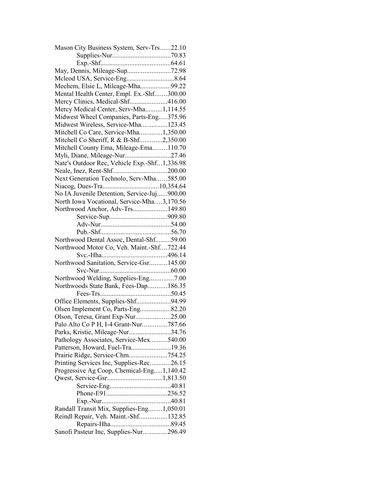| Mason City Business System, Serv-Trs22.10    |  |
|----------------------------------------------|--|
|                                              |  |
|                                              |  |
| May, Dennis, Mileage-Sup72.98                |  |
|                                              |  |
| Mechem, Elsie L, Mileage-Mha99.22            |  |
| Mental Health Center, Empl. Ex.-Shf300.00    |  |
| Mercy Clinics, Medical-Shf416.00             |  |
| Mercy Medical Center, Serv-Mha1,114.55       |  |
| Midwest Wheel Companies, Parts-Eng375.96     |  |
| Midwest Wireless, Service-Mha123.45          |  |
| Mitchell Co Care, Service-Mha1,350.00        |  |
| Mitchell Co Sheriff, R & B-Shf2,350.00       |  |
| Mitchell County Ema, Mileage-Ema110.70       |  |
| Myli, Diane, Mileage-Nur27.46                |  |
| Nate's Outdoor Rec, Vehicle Exp.-Shf1,336.98 |  |
|                                              |  |
| Next Generation Technolo, Serv-Mha585.00     |  |
|                                              |  |
| No IA Juvenile Detention, Service-Juj900.00  |  |
|                                              |  |
| North Iowa Vocational, Service-Mha3,170.56   |  |
| Northwood Anchor, Adv-Trs149.80              |  |
|                                              |  |
|                                              |  |
|                                              |  |
| Northwood Dental Assoc, Dental-Shf59.00      |  |
| Northwood Motor Co, Veh. Maint.-Shf722.44    |  |
|                                              |  |
| Northwood Sanitation, Service-Gsr145.00      |  |
|                                              |  |
| Northwood Welding, Supplies-Eng7.00          |  |
| Northwoods State Bank, Fees-Dap186.35        |  |
|                                              |  |
| Office Elements, Supplies-Shf94.99           |  |
| Olsen Implement Co, Parts-Eng82.20           |  |
| Olson, Teresa, Grant Exp-Nur25.00            |  |
| Palo Alto Co P H, I-4 Grant-Nur787.66        |  |
| Parks, Kristie, Mileage-Nur34.76             |  |
| Pathology Associates, Service-Mex540.00      |  |
| Patterson, Howard, Fuel-Tra19.36             |  |
| Prairie Ridge, Service-Chm754.25             |  |
| Printing Services Inc, Supplies-Rec26.15     |  |
| Progressive Ag Coop, Chemical-Eng1,140.42    |  |
|                                              |  |
|                                              |  |
|                                              |  |
|                                              |  |
| Randall Transit Mix, Supplies-Eng1,050.01    |  |
| Reindl Repair, Veh. Maint.-Shf132.85         |  |
|                                              |  |
| Sanofi Pasteur Inc, Supplies-Nur296.49       |  |